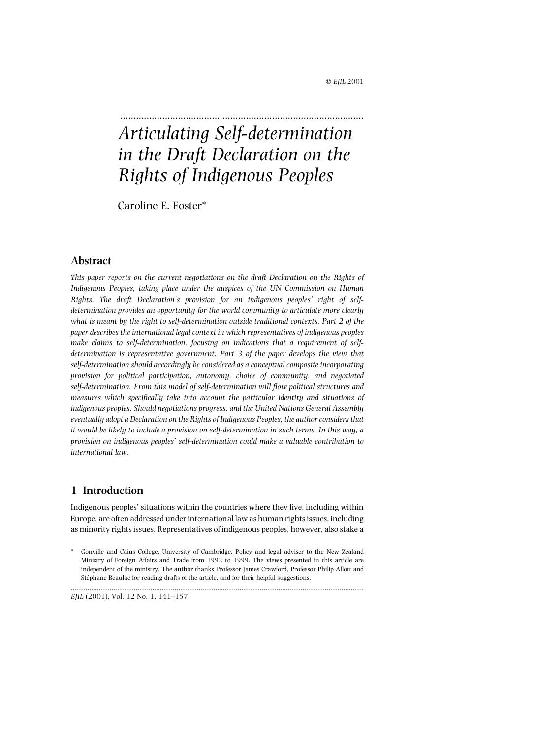# ............................................................................................. *Articulating Self-determination in the Draft Declaration on the Rights of Indigenous Peoples*

Caroline E. Foster\*

## **Abstract**

*This paper reports on the current negotiations on the draft Declaration on the Rights of Indigenous Peoples, taking place under the auspices of the UN Commission on Human Rights. The draft Declaration's provision for an indigenous peoples' right of selfdetermination provides an opportunity for the world community to articulate more clearly what is meant by the right to self-determination outside traditional contexts. Part 2 of the paper describes the international legal context in which representatives of indigenous peoples make claims to self-determination, focusing on indications that a requirement of selfdetermination is representative government. Part 3 of the paper develops the view that self-determination should accordingly be considered as a conceptual composite incorporating provision for political participation, autonomy, choice of community, and negotiated self-determination. From this model of self-determination will flow political structures and measures which specifically take into account the particular identity and situations of indigenous peoples. Should negotiations progress, and the United Nations General Assembly eventually adopt a Declaration on the Rights of Indigenous Peoples, the author considers that it would be likely to include a provision on self-determination in such terms. In this way, a provision on indigenous peoples' self-determination could make a valuable contribution to international law.*

## **1 Introduction**

Indigenous peoples' situations within the countries where they live, including within Europe, are often addressed under international law as human rights issues, including as minority rights issues. Representatives of indigenous peoples, however, also stake a

..............................................................................................................................................................

<sup>\*</sup> Gonville and Caius College, University of Cambridge. Policy and legal adviser to the New Zealand Ministry of Foreign Affairs and Trade from 1992 to 1999. The views presented in this article are independent of the ministry. The author thanks Professor James Crawford, Professor Philip Allott and Stéphane Beaulac for reading drafts of the article, and for their helpful suggestions.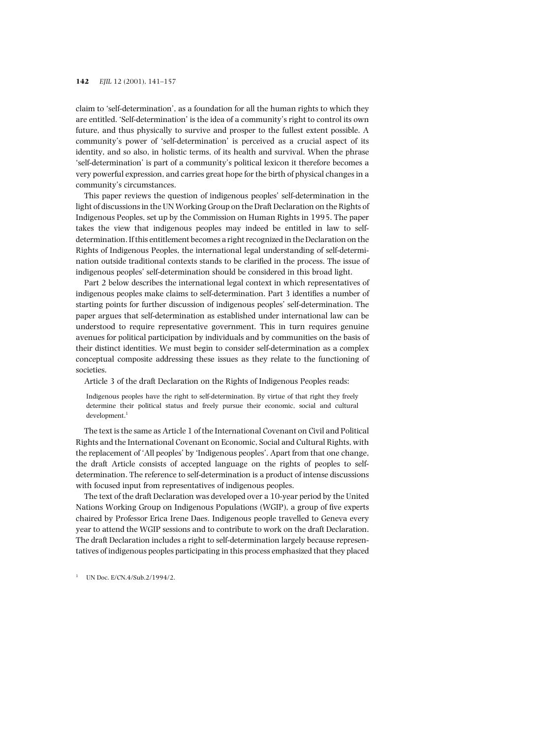claim to 'self-determination', as a foundation for all the human rights to which they are entitled. 'Self-determination' is the idea of a community's right to control its own future, and thus physically to survive and prosper to the fullest extent possible. A community's power of 'self-determination' is perceived as a crucial aspect of its identity, and so also, in holistic terms, of its health and survival. When the phrase 'self-determination' is part of a community's political lexicon it therefore becomes a very powerful expression, and carries great hope for the birth of physical changes in a community's circumstances.

This paper reviews the question of indigenous peoples' self-determination in the light of discussions in the UN Working Group on the Draft Declaration on the Rights of Indigenous Peoples, set up by the Commission on Human Rights in 1995. The paper takes the view that indigenous peoples may indeed be entitled in law to selfdetermination. If this entitlement becomes a right recognized in the Declaration on the Rights of Indigenous Peoples, the international legal understanding of self-determination outside traditional contexts stands to be clarified in the process. The issue of indigenous peoples' self-determination should be considered in this broad light.

Part 2 below describes the international legal context in which representatives of indigenous peoples make claims to self-determination. Part 3 identifies a number of starting points for further discussion of indigenous peoples' self-determination. The paper argues that self-determination as established under international law can be understood to require representative government. This in turn requires genuine avenues for political participation by individuals and by communities on the basis of their distinct identities. We must begin to consider self-determination as a complex conceptual composite addressing these issues as they relate to the functioning of societies.

Article 3 of the draft Declaration on the Rights of Indigenous Peoples reads:

Indigenous peoples have the right to self-determination. By virtue of that right they freely determine their political status and freely pursue their economic, social and cultural development.<sup>1</sup>

The text is the same as Article 1 of the International Covenant on Civil and Political Rights and the International Covenant on Economic, Social and Cultural Rights, with the replacement of 'All peoples' by 'Indigenous peoples'. Apart from that one change, the draft Article consists of accepted language on the rights of peoples to selfdetermination. The reference to self-determination is a product of intense discussions with focused input from representatives of indigenous peoples.

The text of the draft Declaration was developed over a 10-year period by the United Nations Working Group on Indigenous Populations (WGIP), a group of five experts chaired by Professor Erica Irene Daes. Indigenous people travelled to Geneva every year to attend the WGIP sessions and to contribute to work on the draft Declaration. The draft Declaration includes a right to self-determination largely because representatives of indigenous peoples participating in this process emphasized that they placed

 $1$  UN Doc. E/CN.4/Sub.2/1994/2.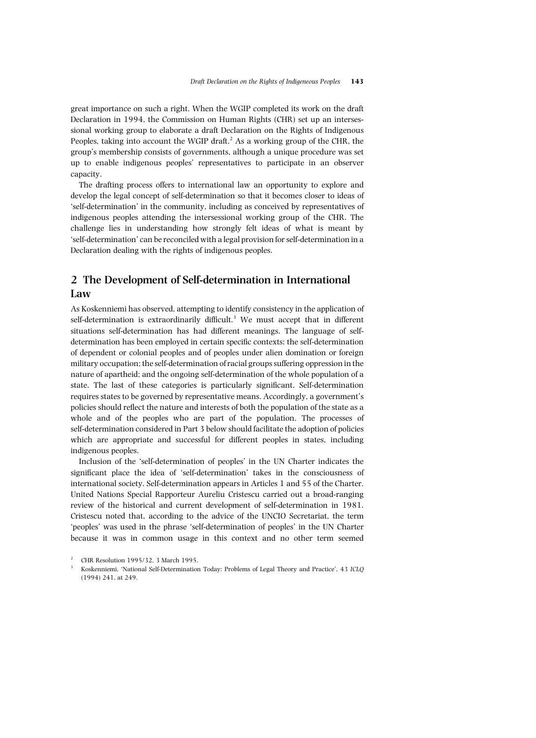great importance on such a right. When the WGIP completed its work on the draft Declaration in 1994, the Commission on Human Rights (CHR) set up an intersessional working group to elaborate a draft Declaration on the Rights of Indigenous Peoples, taking into account the WGIP draft. $<sup>2</sup>$  As a working group of the CHR, the</sup> group's membership consists of governments, although a unique procedure was set up to enable indigenous peoples' representatives to participate in an observer capacity.

The drafting process offers to international law an opportunity to explore and develop the legal concept of self-determination so that it becomes closer to ideas of 'self-determination' in the community, including as conceived by representatives of indigenous peoples attending the intersessional working group of the CHR. The challenge lies in understanding how strongly felt ideas of what is meant by 'self-determination' can be reconciled with a legal provision for self-determination in a Declaration dealing with the rights of indigenous peoples.

## **2 The Development of Self-determination in International Law**

As Koskenniemi has observed, attempting to identify consistency in the application of self-determination is extraordinarily difficult.<sup>3</sup> We must accept that in different situations self-determination has had different meanings. The language of selfdetermination has been employed in certain specific contexts: the self-determination of dependent or colonial peoples and of peoples under alien domination or foreign military occupation; the self-determination of racial groups suffering oppression in the nature of apartheid; and the ongoing self-determination of the whole population of a state. The last of these categories is particularly significant. Self-determination requires states to be governed by representative means. Accordingly, a government's policies should reflect the nature and interests of both the population of the state as a whole and of the peoples who are part of the population. The processes of self-determination considered in Part 3 below should facilitate the adoption of policies which are appropriate and successful for different peoples in states, including indigenous peoples.

Inclusion of the 'self-determination of peoples' in the UN Charter indicates the significant place the idea of 'self-determination' takes in the consciousness of international society. Self-determination appears in Articles 1 and 55 of the Charter. United Nations Special Rapporteur Aureliu Cristescu carried out a broad-ranging review of the historical and current development of self-determination in 1981. Cristescu noted that, according to the advice of the UNCIO Secretariat, the term 'peoples' was used in the phrase 'self-determination of peoples' in the UN Charter because it was in common usage in this context and no other term seemed

<sup>2</sup> CHR Resolution 1995/32, 3 March 1995.

<sup>3</sup> Koskenniemi, 'National Self-Determination Today: Problems of Legal Theory and Practice', 43 *ICLQ* (1994) 241, at 249.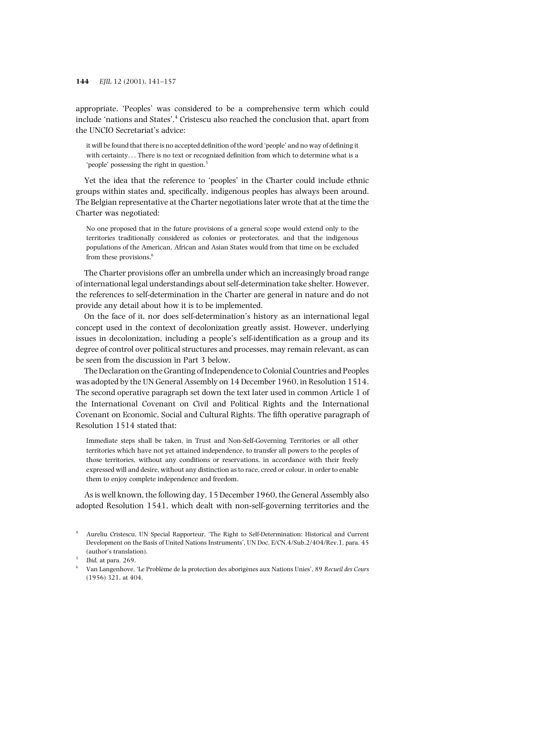appropriate. 'Peoples' was considered to be a comprehensive term which could include 'nations and States'. <sup>4</sup> Cristescu also reached the conclusion that, apart from the UNCIO Secretariat's advice:

it will be found that there is no accepted definition of the word 'people' and no way of defining it with certainty. . . There is no text or recognized definition from which to determine what is a 'people' possessing the right in question.<sup>5</sup>

Yet the idea that the reference to 'peoples' in the Charter could include ethnic groups within states and, specifically, indigenous peoples has always been around. The Belgian representative at the Charter negotiations later wrote that at the time the Charter was negotiated:

No one proposed that in the future provisions of a general scope would extend only to the territories traditionally considered as colonies or protectorates, and that the indigenous populations of the American, African and Asian States would from that time on be excluded from these provisions.<sup>6</sup>

The Charter provisions offer an umbrella under which an increasingly broad range of international legal understandings about self-determination take shelter. However, the references to self-determination in the Charter are general in nature and do not provide any detail about how it is to be implemented.

On the face of it, nor does self-determination's history as an international legal concept used in the context of decolonization greatly assist. However, underlying issues in decolonization, including a people's self-identification as a group and its degree of control over political structures and processes, may remain relevant, as can be seen from the discussion in Part 3 below.

The Declaration on the Granting of Independence to Colonial Countries and Peoples was adopted by the UN General Assembly on 14 December 1960, in Resolution 1514. The second operative paragraph set down the text later used in common Article 1 of the International Covenant on Civil and Political Rights and the International Covenant on Economic, Social and Cultural Rights. The fifth operative paragraph of Resolution 1514 stated that:

Immediate steps shall be taken, in Trust and Non-Self-Governing Territories or all other territories which have not yet attained independence, to transfer all powers to the peoples of those territories, without any conditions or reservations, in accordance with their freely expressed will and desire, without any distinction as to race, creed or colour, in order to enable them to enjoy complete independence and freedom.

As is well known, the following day, 15 December 1960, the General Assembly also adopted Resolution 1541, which dealt with non-self-governing territories and the

- <sup>4</sup> Aureliu Cristescu, UN Special Rapporteur, 'The Right to Self-Determination: Historical and Current Development on the Basis of United Nations Instruments', UN Doc. E/CN.4/Sub.2/404/Rev.1, para. 45 (author's translation).
- <sup>5</sup> *Ibid*, at para. 269.
- <sup>6</sup> Van Langenhove, 'Le Problème de la protection des aborigènes aux Nations Unies', 89 *Recueil des Cours* (1956) 321, at 404.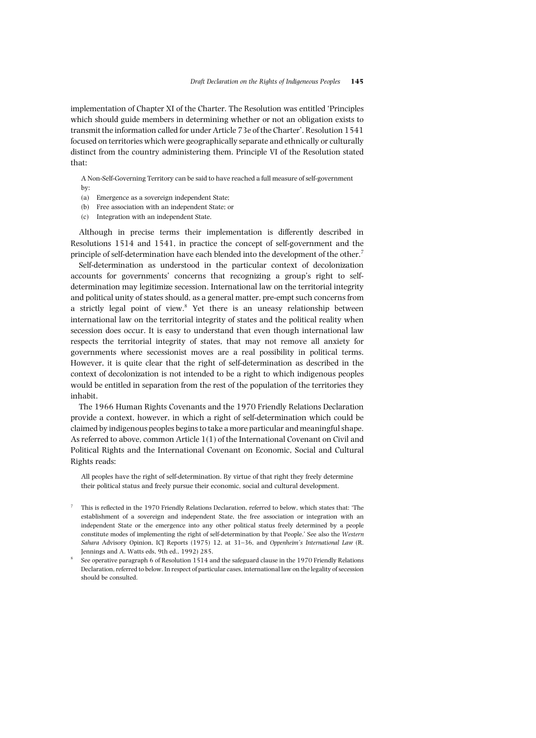implementation of Chapter XI of the Charter. The Resolution was entitled 'Principles which should guide members in determining whether or not an obligation exists to transmit the information called for under Article 73e of the Charter'. Resolution 1541 focused on territories which were geographically separate and ethnically or culturally distinct from the country administering them. Principle VI of the Resolution stated that:

A Non-Self-Governing Territory can be said to have reached a full measure of self-government

- by:
- (a) Emergence as a sovereign independent State;
- (b) Free association with an independent State; or
- (c) Integration with an independent State.

Although in precise terms their implementation is differently described in Resolutions 1514 and 1541, in practice the concept of self-government and the principle of self-determination have each blended into the development of the other.<sup>7</sup>

Self-determination as understood in the particular context of decolonization accounts for governments' concerns that recognizing a group's right to selfdetermination may legitimize secession. International law on the territorial integrity and political unity of states should, as a general matter, pre-empt such concerns from a strictly legal point of view.<sup>8</sup> Yet there is an uneasy relationship between international law on the territorial integrity of states and the political reality when secession does occur. It is easy to understand that even though international law respects the territorial integrity of states, that may not remove all anxiety for governments where secessionist moves are a real possibility in political terms. However, it is quite clear that the right of self-determination as described in the context of decolonization is not intended to be a right to which indigenous peoples would be entitled in separation from the rest of the population of the territories they inhabit.

The 1966 Human Rights Covenants and the 1970 Friendly Relations Declaration provide a context, however, in which a right of self-determination which could be claimed by indigenous peoples begins to take a more particular and meaningful shape. As referred to above, common Article 1(1) of the International Covenant on Civil and Political Rights and the International Covenant on Economic, Social and Cultural Rights reads:

All peoples have the right of self-determination. By virtue of that right they freely determine their political status and freely pursue their economic, social and cultural development.

- <sup>7</sup> This is reflected in the 1970 Friendly Relations Declaration, referred to below, which states that: 'The establishment of a sovereign and independent State, the free association or integration with an independent State or the emergence into any other political status freely determined by a people constitute modes of implementing the right of self-determination by that People.' See also the *Western Sahara* Advisory Opinion, ICJ Reports (1975) 12, at 31–36, and *Oppenheim's International Law* (R. Jennings and A. Watts eds, 9th ed., 1992) 285.
- <sup>8</sup> See operative paragraph 6 of Resolution 1514 and the safeguard clause in the 1970 Friendly Relations Declaration, referred to below. In respect of particular cases, international law on the legality of secession should be consulted.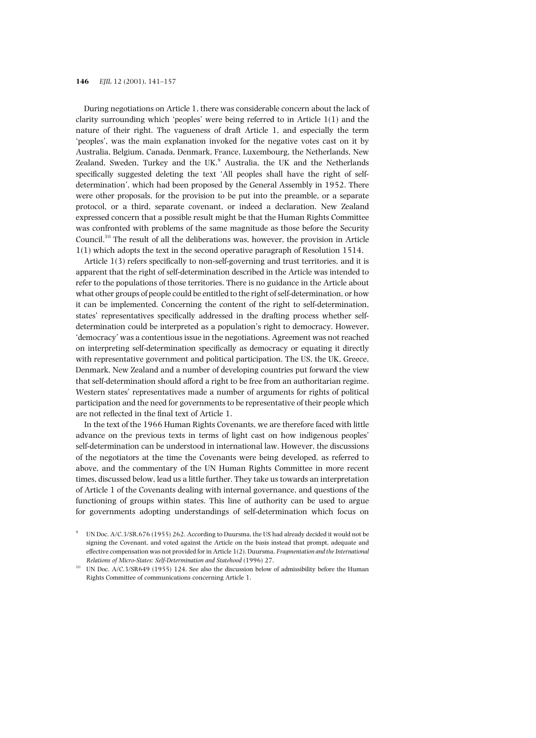During negotiations on Article 1, there was considerable concern about the lack of clarity surrounding which 'peoples' were being referred to in Article 1(1) and the nature of their right. The vagueness of draft Article 1, and especially the term 'peoples', was the main explanation invoked for the negative votes cast on it by Australia, Belgium, Canada, Denmark, France, Luxembourg, the Netherlands, New Zealand, Sweden, Turkey and the UK.<sup>9</sup> Australia, the UK and the Netherlands specifically suggested deleting the text 'All peoples shall have the right of selfdetermination', which had been proposed by the General Assembly in 1952. There were other proposals, for the provision to be put into the preamble, or a separate protocol, or a third, separate covenant, or indeed a declaration. New Zealand expressed concern that a possible result might be that the Human Rights Committee was confronted with problems of the same magnitude as those before the Security Council.10 The result of all the deliberations was, however, the provision in Article 1(1) which adopts the text in the second operative paragraph of Resolution 1514.

Article 1(3) refers specifically to non-self-governing and trust territories, and it is apparent that the right of self-determination described in the Article was intended to refer to the populations of those territories. There is no guidance in the Article about what other groups of people could be entitled to the right of self-determination, or how it can be implemented. Concerning the content of the right to self-determination, states' representatives specifically addressed in the drafting process whether selfdetermination could be interpreted as a population's right to democracy. However, 'democracy' was a contentious issue in the negotiations. Agreement was not reached on interpreting self-determination specifically as democracy or equating it directly with representative government and political participation. The US, the UK, Greece, Denmark, New Zealand and a number of developing countries put forward the view that self-determination should afford a right to be free from an authoritarian regime. Western states' representatives made a number of arguments for rights of political participation and the need for governments to be representative of their people which are not reflected in the final text of Article 1.

In the text of the 1966 Human Rights Covenants, we are therefore faced with little advance on the previous texts in terms of light cast on how indigenous peoples' self-determination can be understood in international law. However, the discussions of the negotiators at the time the Covenants were being developed, as referred to above, and the commentary of the UN Human Rights Committee in more recent times, discussed below, lead us a little further. They take us towards an interpretation of Article 1 of the Covenants dealing with internal governance, and questions of the functioning of groups within states. This line of authority can be used to argue for governments adopting understandings of self-determination which focus on

UN Doc. A/C.3/SR.676 (1955) 262. According to Duursma, the US had already decided it would not be signing the Covenant, and voted against the Article on the basis instead that prompt, adequate and effective compensation was not provided for in Article 1(2). Duursma, *Fragmentation and the International Relations of Micro-States: Self-Determination and Statehood* (1996) 27.

<sup>&</sup>lt;sup>10</sup> UN Doc. A/C.3/SR649 (1955) 124. See also the discussion below of admissibility before the Human Rights Committee of communications concerning Article 1.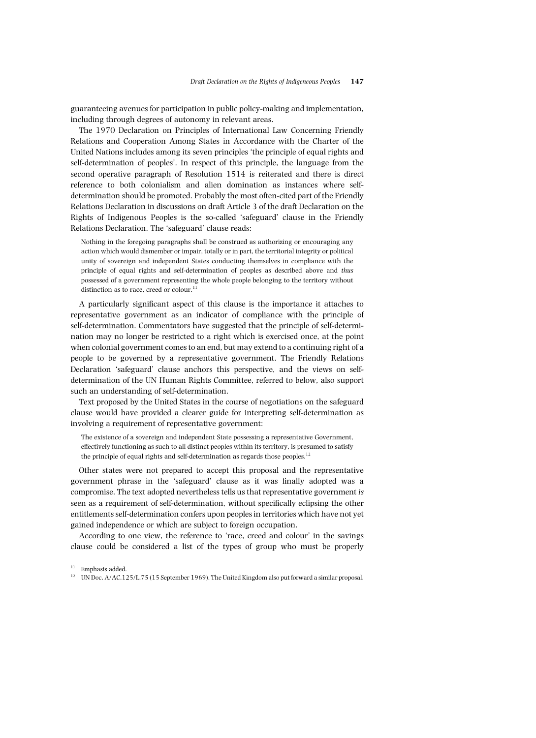guaranteeing avenues for participation in public policy-making and implementation, including through degrees of autonomy in relevant areas.

The 1970 Declaration on Principles of International Law Concerning Friendly Relations and Cooperation Among States in Accordance with the Charter of the United Nations includes among its seven principles 'the principle of equal rights and self-determination of peoples'. In respect of this principle, the language from the second operative paragraph of Resolution 1514 is reiterated and there is direct reference to both colonialism and alien domination as instances where selfdetermination should be promoted. Probably the most often-cited part of the Friendly Relations Declaration in discussions on draft Article 3 of the draft Declaration on the Rights of Indigenous Peoples is the so-called 'safeguard' clause in the Friendly Relations Declaration. The 'safeguard' clause reads:

Nothing in the foregoing paragraphs shall be construed as authorizing or encouraging any action which would dismember or impair, totally or in part, the territorial integrity or political unity of sovereign and independent States conducting themselves in compliance with the principle of equal rights and self-determination of peoples as described above and *thus* possessed of a government representing the whole people belonging to the territory without distinction as to race, creed or colour. $11$ 

A particularly significant aspect of this clause is the importance it attaches to representative government as an indicator of compliance with the principle of self-determination. Commentators have suggested that the principle of self-determination may no longer be restricted to a right which is exercised once, at the point when colonial government comes to an end, but may extend to a continuing right of a people to be governed by a representative government. The Friendly Relations Declaration 'safeguard' clause anchors this perspective, and the views on selfdetermination of the UN Human Rights Committee, referred to below, also support such an understanding of self-determination.

Text proposed by the United States in the course of negotiations on the safeguard clause would have provided a clearer guide for interpreting self-determination as involving a requirement of representative government:

The existence of a sovereign and independent State possessing a representative Government, effectively functioning as such to all distinct peoples within its territory, is presumed to satisfy the principle of equal rights and self-determination as regards those peoples.<sup>12</sup>

Other states were not prepared to accept this proposal and the representative government phrase in the 'safeguard' clause as it was finally adopted was a compromise. The text adopted nevertheless tells us that representative government *is* seen as a requirement of self-determination, without specifically eclipsing the other entitlements self-determination confers upon peoples in territories which have not yet gained independence or which are subject to foreign occupation.

According to one view, the reference to 'race, creed and colour' in the savings clause could be considered a list of the types of group who must be properly

<sup>&</sup>lt;sup>11</sup> Emphasis added.

<sup>&</sup>lt;sup>12</sup> UN Doc. A/AC.125/L.75 (15 September 1969). The United Kingdom also put forward a similar proposal.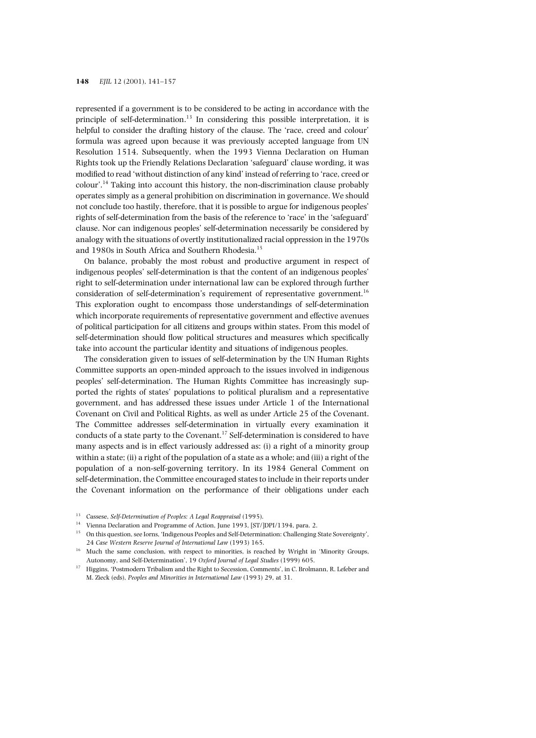represented if a government is to be considered to be acting in accordance with the principle of self-determination.<sup>13</sup> In considering this possible interpretation, it is helpful to consider the drafting history of the clause. The 'race, creed and colour' formula was agreed upon because it was previously accepted language from UN Resolution 1514. Subsequently, when the 1993 Vienna Declaration on Human Rights took up the Friendly Relations Declaration 'safeguard' clause wording, it was modified to read 'without distinction of any kind' instead of referring to 'race, creed or colour'. <sup>14</sup> Taking into account this history, the non-discrimination clause probably operates simply as a general prohibition on discrimination in governance. We should not conclude too hastily, therefore, that it is possible to argue for indigenous peoples' rights of self-determination from the basis of the reference to 'race' in the 'safeguard' clause. Nor can indigenous peoples' self-determination necessarily be considered by analogy with the situations of overtly institutionalized racial oppression in the 1970s and 1980s in South Africa and Southern Rhodesia.<sup>15</sup>

On balance, probably the most robust and productive argument in respect of indigenous peoples' self-determination is that the content of an indigenous peoples' right to self-determination under international law can be explored through further consideration of self-determination's requirement of representative government.<sup>16</sup> This exploration ought to encompass those understandings of self-determination which incorporate requirements of representative government and effective avenues of political participation for all citizens and groups within states. From this model of self-determination should flow political structures and measures which specifically take into account the particular identity and situations of indigenous peoples.

The consideration given to issues of self-determination by the UN Human Rights Committee supports an open-minded approach to the issues involved in indigenous peoples' self-determination. The Human Rights Committee has increasingly supported the rights of states' populations to political pluralism and a representative government, and has addressed these issues under Article 1 of the International Covenant on Civil and Political Rights, as well as under Article 25 of the Covenant. The Committee addresses self-determination in virtually every examination it conducts of a state party to the Covenant.<sup>17</sup> Self-determination is considered to have many aspects and is in effect variously addressed as: (i) a right of a minority group within a state; (ii) a right of the population of a state as a whole; and (iii) a right of the population of a non-self-governing territory. In its 1984 General Comment on self-determination, the Committee encouraged states to include in their reports under the Covenant information on the performance of their obligations under each

- <sup>13</sup> Cassese, *Self-Determination of Peoples: A Legal Reappraisal* (1995).
- $^{14}\;$  Vienna Declaration and Programme of Action, June 1993, [ST/]DPI/1394, para. 2.
- <sup>15</sup> On this question, see Iorns, 'Indigenous Peoples and Self-Determination: Challenging State Sovereignty', 24 *Case Western Reserve Journal of International Law* (1993) 165.
- <sup>16</sup> Much the same conclusion, with respect to minorities, is reached by Wright in 'Minority Groups, Autonomy, and Self-Determination', 19 *Oxford Journal of Legal Studies* (1999) 605.
- <sup>17</sup> Higgins, 'Postmodern Tribalism and the Right to Secession, Comments', in C. Brolmann, R. Lefeber and M. Zieck (eds), *Peoples and Minorities in International Law* (1993) 29, at 31.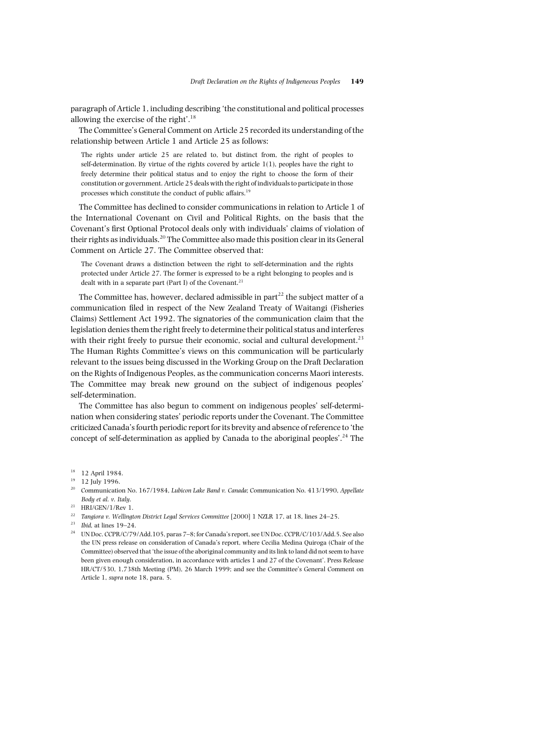paragraph of Article 1, including describing 'the constitutional and political processes allowing the exercise of the right'. 18

The Committee's General Comment on Article 25 recorded its understanding of the relationship between Article 1 and Article 25 as follows:

The rights under article 25 are related to, but distinct from, the right of peoples to self-determination. By virtue of the rights covered by article  $1(1)$ , peoples have the right to freely determine their political status and to enjoy the right to choose the form of their constitution or government. Article 25 deals with the right of individuals to participate in those processes which constitute the conduct of public affairs.<sup>19</sup>

The Committee has declined to consider communications in relation to Article 1 of the International Covenant on Civil and Political Rights, on the basis that the Covenant's first Optional Protocol deals only with individuals' claims of violation of their rights as individuals.<sup>20</sup> The Committee also made this position clear in its General Comment on Article 27. The Committee observed that:

The Covenant draws a distinction between the right to self-determination and the rights protected under Article 27. The former is expressed to be a right belonging to peoples and is dealt with in a separate part (Part I) of the Covenant. $21$ 

The Committee has, however, declared admissible in  $part^{22}$  the subject matter of a communication filed in respect of the New Zealand Treaty of Waitangi (Fisheries Claims) Settlement Act 1992. The signatories of the communication claim that the legislation denies them the right freely to determine their political status and interferes with their right freely to pursue their economic, social and cultural development.<sup>23</sup> The Human Rights Committee's views on this communication will be particularly relevant to the issues being discussed in the Working Group on the Draft Declaration on the Rights of Indigenous Peoples, as the communication concerns Maori interests. The Committee may break new ground on the subject of indigenous peoples' self-determination.

The Committee has also begun to comment on indigenous peoples' self-determination when considering states' periodic reports under the Covenant. The Committee criticized Canada's fourth periodic report for its brevity and absence of reference to 'the concept of self-determination as applied by Canada to the aboriginal peoples'. <sup>24</sup> The

- <sup>19</sup> 12 July 1996.
- <sup>20</sup> Communication No. 167/1984, *Lubicon Lake Band v. Canada*; Communication No. 413/1990, *Appellate Body et al. v. Italy*.
- $21$  HRI/GEN/1/Rev 1.
- <sup>22</sup> *Tangiora v. Wellington District Legal Services Committee* [2000] 1 NZLR 17, at 18, lines 24–25.
- <sup>23</sup> *Ibid*, at lines 19–24.
- <sup>24</sup> UN Doc. CCPR/C/79/Add.105, paras 7–8; for Canada's report, see UN Doc. CCPR/C/103/Add.5. See also the UN press release on consideration of Canada's report, where Cecilia Medina Quiroga (Chair of the Committee) observed that 'the issue of the aboriginal community and its link to land did not seem to have been given enough consideration, in accordance with articles 1 and 27 of the Covenant'. Press Release HR/CT/530, 1,738th Meeting (PM), 26 March 1999; and see the Committee's General Comment on Article 1, *supra* note 18, para. 5.

<sup>&</sup>lt;sup>18</sup> 12 April 1984.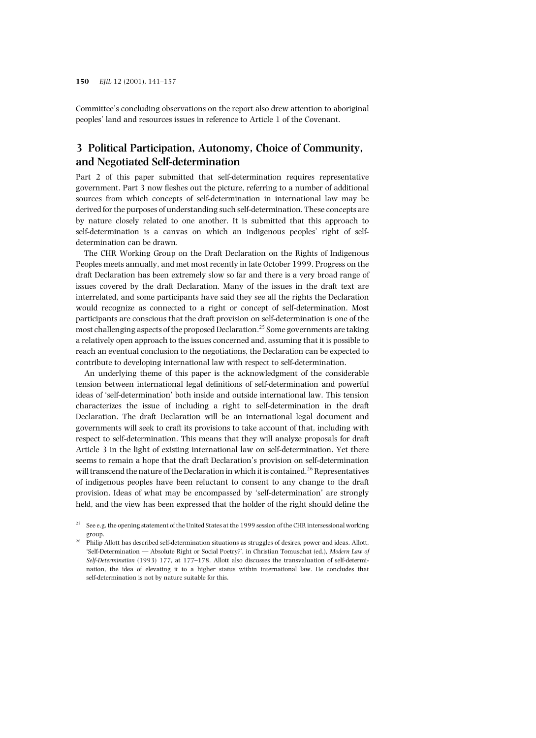Committee's concluding observations on the report also drew attention to aboriginal peoples' land and resources issues in reference to Article 1 of the Covenant.

# **3 Political Participation, Autonomy, Choice of Community, and Negotiated Self-determination**

Part 2 of this paper submitted that self-determination requires representative government. Part 3 now fleshes out the picture, referring to a number of additional sources from which concepts of self-determination in international law may be derived for the purposes of understanding such self-determination. These concepts are by nature closely related to one another. It is submitted that this approach to self-determination is a canvas on which an indigenous peoples' right of selfdetermination can be drawn.

The CHR Working Group on the Draft Declaration on the Rights of Indigenous Peoples meets annually, and met most recently in late October 1999. Progress on the draft Declaration has been extremely slow so far and there is a very broad range of issues covered by the draft Declaration. Many of the issues in the draft text are interrelated, and some participants have said they see all the rights the Declaration would recognize as connected to a right or concept of self-determination. Most participants are conscious that the draft provision on self-determination is one of the most challenging aspects of the proposed Declaration.<sup>25</sup> Some governments are taking a relatively open approach to the issues concerned and, assuming that it is possible to reach an eventual conclusion to the negotiations, the Declaration can be expected to contribute to developing international law with respect to self-determination.

An underlying theme of this paper is the acknowledgment of the considerable tension between international legal definitions of self-determination and powerful ideas of 'self-determination' both inside and outside international law. This tension characterizes the issue of including a right to self-determination in the draft Declaration. The draft Declaration will be an international legal document and governments will seek to craft its provisions to take account of that, including with respect to self-determination. This means that they will analyze proposals for draft Article 3 in the light of existing international law on self-determination. Yet there seems to remain a hope that the draft Declaration's provision on self-determination will transcend the nature of the Declaration in which it is contained.<sup>26</sup> Representatives of indigenous peoples have been reluctant to consent to any change to the draft provision. Ideas of what may be encompassed by 'self-determination' are strongly held, and the view has been expressed that the holder of the right should define the

<sup>25</sup> See e.g. the opening statement of the United States at the 1999 session of the CHR intersessional working group.

<sup>26</sup> Philip Allott has described self-determination situations as struggles of desires, power and ideas. Allott, 'Self-Determination — Absolute Right or Social Poetry?', in Christian Tomuschat (ed.), *Modern Law of Self-Determination* (1993) 177, at 177–178. Allott also discusses the transvaluation of self-determination, the idea of elevating it to a higher status within international law. He concludes that self-determination is not by nature suitable for this.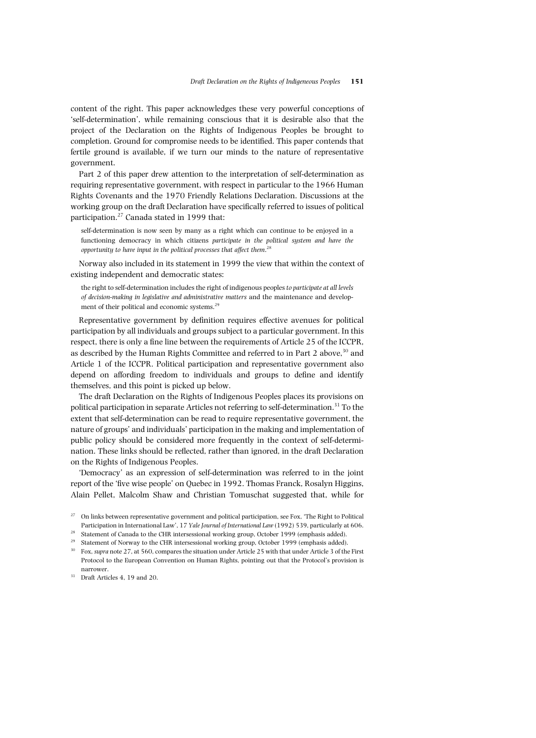content of the right. This paper acknowledges these very powerful conceptions of 'self-determination', while remaining conscious that it is desirable also that the project of the Declaration on the Rights of Indigenous Peoples be brought to completion. Ground for compromise needs to be identified. This paper contends that fertile ground is available, if we turn our minds to the nature of representative government.

Part 2 of this paper drew attention to the interpretation of self-determination as requiring representative government, with respect in particular to the 1966 Human Rights Covenants and the 1970 Friendly Relations Declaration. Discussions at the working group on the draft Declaration have specifically referred to issues of political participation.<sup>27</sup> Canada stated in 1999 that:

self-determination is now seen by many as a right which can continue to be enjoyed in a functioning democracy in which citizens *participate in the political system and have the opportunity to have input in the political processes that affect them*. 28

Norway also included in its statement in 1999 the view that within the context of existing independent and democratic states:

the right to self-determination includes the right of indigenous peoples *to participate at all levels of decision-making in legislative and administrative matters* and the maintenance and development of their political and economic systems.<sup>29</sup>

Representative government by definition requires effective avenues for political participation by all individuals and groups subject to a particular government. In this respect, there is only a fine line between the requirements of Article 25 of the ICCPR, as described by the Human Rights Committee and referred to in Part 2 above,<sup>30</sup> and Article 1 of the ICCPR. Political participation and representative government also depend on affording freedom to individuals and groups to define and identify themselves, and this point is picked up below.

The draft Declaration on the Rights of Indigenous Peoples places its provisions on political participation in separate Articles not referring to self-determination.31 To the extent that self-determination can be read to require representative government, the nature of groups' and individuals' participation in the making and implementation of public policy should be considered more frequently in the context of self-determination. These links should be reflected, rather than ignored, in the draft Declaration on the Rights of Indigenous Peoples.

'Democracy' as an expression of self-determination was referred to in the joint report of the 'five wise people' on Quebec in 1992. Thomas Franck, Rosalyn Higgins, Alain Pellet, Malcolm Shaw and Christian Tomuschat suggested that, while for

 $27$  On links between representative government and political participation, see Fox, 'The Right to Political Participation in International Law', 17 *Yale Journal of International Law* (1992) 539, particularly at 606.

 $^{28}$  Statement of Canada to the CHR intersessional working group, October 1999 (emphasis added).

<sup>&</sup>lt;sup>29</sup> Statement of Norway to the CHR intersessional working group, October 1999 (emphasis added).<br><sup>30</sup> For guaranta 27 at 560 compares the situation under Article 25 with that under Article 2 of the

<sup>30</sup> Fox, *supra* note 27, at 560, compares the situation under Article 25 with that under Article 3 of the First Protocol to the European Convention on Human Rights, pointing out that the Protocol's provision is narrower.

 $31$  Draft Articles 4, 19 and 20.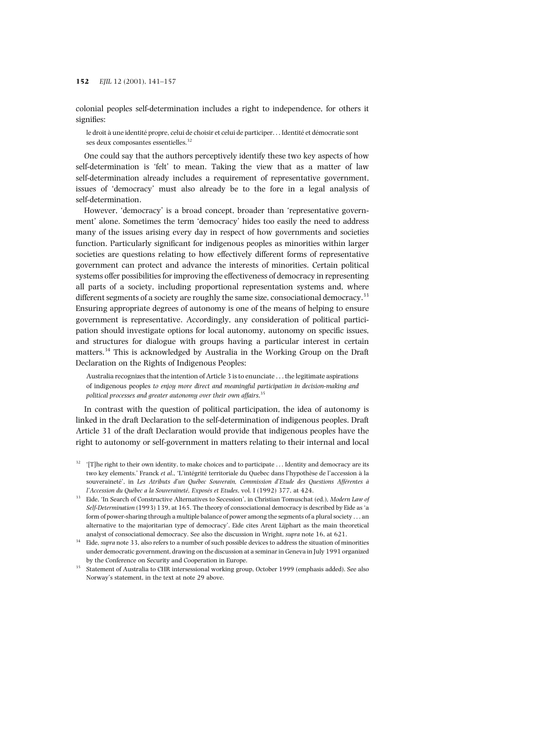colonial peoples self-determination includes a right to independence, for others it signifies:

le droit à une identité propre, celui de choisir et celui de participer. . . Identité et démocratie sont ses deux composantes essentielles.<sup>32</sup>

One could say that the authors perceptively identify these two key aspects of how self-determination is 'felt' to mean. Taking the view that as a matter of law self-determination already includes a requirement of representative government, issues of 'democracy' must also already be to the fore in a legal analysis of self-determination.

However, 'democracy' is a broad concept, broader than 'representative government' alone. Sometimes the term 'democracy' hides too easily the need to address many of the issues arising every day in respect of how governments and societies function. Particularly significant for indigenous peoples as minorities within larger societies are questions relating to how effectively different forms of representative government can protect and advance the interests of minorities. Certain political systems offer possibilities for improving the effectiveness of democracy in representing all parts of a society, including proportional representation systems and, where different segments of a society are roughly the same size, consociational democracy.<sup>33</sup> Ensuring appropriate degrees of autonomy is one of the means of helping to ensure government is representative. Accordingly, any consideration of political participation should investigate options for local autonomy, autonomy on specific issues, and structures for dialogue with groups having a particular interest in certain matters.34 This is acknowledged by Australia in the Working Group on the Draft Declaration on the Rights of Indigenous Peoples:

Australia recognizes that the intention of Article 3 is to enunciate . . . the legitimate aspirations of indigenous peoples *to enjoy more direct and meaningful participation in decision-making and political processes and greater autonomy over their own affairs*. 35

In contrast with the question of political participation, the idea of autonomy is linked in the draft Declaration to the self-determination of indigenous peoples. Draft Article 31 of the draft Declaration would provide that indigenous peoples have the right to autonomy or self-government in matters relating to their internal and local

 $32$  '[T]he right to their own identity, to make choices and to participate  $\dots$  Identity and democracy are its two key elements.' Franck *et al*., 'L'intégrité territoriale du Quebec dans l'hypothèse de l'accession à la souveraineté', in *Les Atributs d'un Québec Souverain, Commission d'Etude des Questions Afférentes à l'Accession du Québec a la Souveraineté, Exposés et Etudes*, vol. I (1992) 377, at 424.

<sup>33</sup> Eide, 'In Search of Constructive Alternatives to Secession', in Christian Tomuschat (ed.), *Modern Law of Self-Determination* (1993) 139, at 165. The theory of consociational democracy is described by Eide as 'a form of power-sharing through a multiple balance of power among the segments of a plural society . . . an alternative to the majoritarian type of democracy'. Eide cites Arent Lijphart as the main theoretical analyst of consociational democracy. See also the discussion in Wright, *supra* note 16, at 621.

<sup>34</sup> Eide, *supra* note 33, also refers to a number of such possible devices to address the situation of minorities under democratic government, drawing on the discussion at a seminar in Geneva in July 1991 organized by the Conference on Security and Cooperation in Europe.

<sup>&</sup>lt;sup>35</sup> Statement of Australia to CHR intersessional working group, October 1999 (emphasis added). See also Norway's statement, in the text at note 29 above.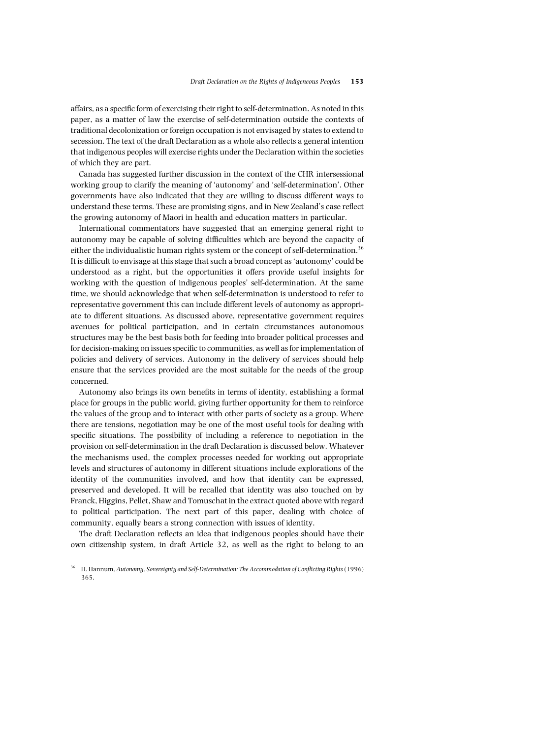affairs, as a specific form of exercising their right to self-determination. As noted in this paper, as a matter of law the exercise of self-determination outside the contexts of traditional decolonization or foreign occupation is not envisaged by states to extend to secession. The text of the draft Declaration as a whole also reflects a general intention that indigenous peoples will exercise rights under the Declaration within the societies of which they are part.

Canada has suggested further discussion in the context of the CHR intersessional working group to clarify the meaning of 'autonomy' and 'self-determination'. Other governments have also indicated that they are willing to discuss different ways to understand these terms. These are promising signs, and in New Zealand's case reflect the growing autonomy of Maori in health and education matters in particular.

International commentators have suggested that an emerging general right to autonomy may be capable of solving difficulties which are beyond the capacity of either the individualistic human rights system or the concept of self-determination.<sup>36</sup> It is difficult to envisage at this stage that such a broad concept as 'autonomy' could be understood as a right, but the opportunities it offers provide useful insights for working with the question of indigenous peoples' self-determination. At the same time, we should acknowledge that when self-determination is understood to refer to representative government this can include different levels of autonomy as appropriate to different situations. As discussed above, representative government requires avenues for political participation, and in certain circumstances autonomous structures may be the best basis both for feeding into broader political processes and for decision-making on issues specific to communities, as well as for implementation of policies and delivery of services. Autonomy in the delivery of services should help ensure that the services provided are the most suitable for the needs of the group concerned.

Autonomy also brings its own benefits in terms of identity, establishing a formal place for groups in the public world, giving further opportunity for them to reinforce the values of the group and to interact with other parts of society as a group. Where there are tensions, negotiation may be one of the most useful tools for dealing with specific situations. The possibility of including a reference to negotiation in the provision on self-determination in the draft Declaration is discussed below. Whatever the mechanisms used, the complex processes needed for working out appropriate levels and structures of autonomy in different situations include explorations of the identity of the communities involved, and how that identity can be expressed, preserved and developed. It will be recalled that identity was also touched on by Franck, Higgins, Pellet, Shaw and Tomuschat in the extract quoted above with regard to political participation. The next part of this paper, dealing with choice of community, equally bears a strong connection with issues of identity.

The draft Declaration reflects an idea that indigenous peoples should have their own citizenship system, in draft Article 32, as well as the right to belong to an

<sup>36</sup> H. Hannum, *Autonomy, Sovereignty and Self-Determination: The Accommodation of Conflicting Rights*(1996) 365.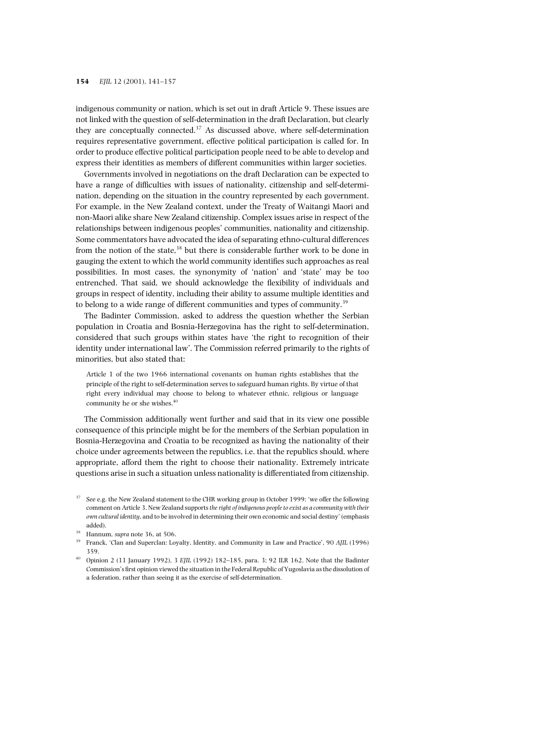indigenous community or nation, which is set out in draft Article 9. These issues are not linked with the question of self-determination in the draft Declaration, but clearly they are conceptually connected. $37$  As discussed above, where self-determination requires representative government, effective political participation is called for. In order to produce effective political participation people need to be able to develop and express their identities as members of different communities within larger societies.

Governments involved in negotiations on the draft Declaration can be expected to have a range of difficulties with issues of nationality, citizenship and self-determination, depending on the situation in the country represented by each government. For example, in the New Zealand context, under the Treaty of Waitangi Maori and non-Maori alike share New Zealand citizenship. Complex issues arise in respect of the relationships between indigenous peoples' communities, nationality and citizenship. Some commentators have advocated the idea of separating ethno-cultural differences from the notion of the state, $38$  but there is considerable further work to be done in gauging the extent to which the world community identifies such approaches as real possibilities. In most cases, the synonymity of 'nation' and 'state' may be too entrenched. That said, we should acknowledge the flexibility of individuals and groups in respect of identity, including their ability to assume multiple identities and to belong to a wide range of different communities and types of community.<sup>39</sup>

The Badinter Commission, asked to address the question whether the Serbian population in Croatia and Bosnia-Herzegovina has the right to self-determination, considered that such groups within states have 'the right to recognition of their identity under international law'. The Commission referred primarily to the rights of minorities, but also stated that:

Article 1 of the two 1966 international covenants on human rights establishes that the principle of the right to self-determination serves to safeguard human rights. By virtue of that right every individual may choose to belong to whatever ethnic, religious or language community he or she wishes.<sup>40</sup>

The Commission additionally went further and said that in its view one possible consequence of this principle might be for the members of the Serbian population in Bosnia-Herzegovina and Croatia to be recognized as having the nationality of their choice under agreements between the republics, i.e. that the republics should, where appropriate, afford them the right to choose their nationality. Extremely intricate questions arise in such a situation unless nationality is differentiated from citizenship.

<sup>&</sup>lt;sup>37</sup> See e.g. the New Zealand statement to the CHR working group in October 1999: 'we offer the following comment on Article 3. New Zealand supports *the right of indigenous people to exist as a community with their own cultural identity*, and to be involved in determining their own economic and social destiny' (emphasis added).

<sup>&</sup>lt;sup>38</sup> Hannum, *supra* note 36, at 506.<br><sup>39</sup> Franck 'Clan and Superclan: Lo

<sup>39</sup> Franck, 'Clan and Superclan: Loyalty, Identity, and Community in Law and Practice', 90 *AJIL* (1996) 359.

<sup>40</sup> Opinion 2 (11 January 1992), 3 *EJIL* (1992) 182–185, para. 3; 92 ILR 162. Note that the Badinter Commission's first opinion viewed the situation in the Federal Republic of Yugoslavia as the dissolution of a federation, rather than seeing it as the exercise of self-determination.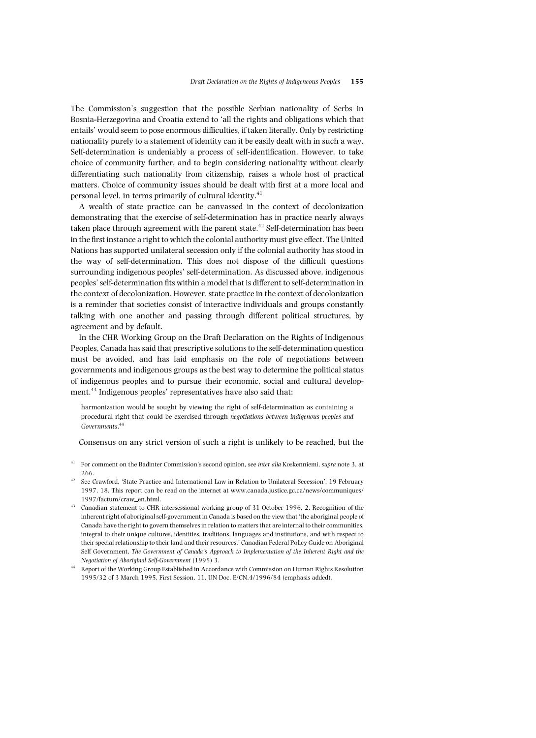The Commission's suggestion that the possible Serbian nationality of Serbs in Bosnia-Herzegovina and Croatia extend to 'all the rights and obligations which that entails' would seem to pose enormous difficulties, if taken literally. Only by restricting nationality purely to a statement of identity can it be easily dealt with in such a way. Self-determination is undeniably a process of self-identification. However, to take choice of community further, and to begin considering nationality without clearly differentiating such nationality from citizenship, raises a whole host of practical matters. Choice of community issues should be dealt with first at a more local and personal level, in terms primarily of cultural identity.<sup>41</sup>

A wealth of state practice can be canvassed in the context of decolonization demonstrating that the exercise of self-determination has in practice nearly always taken place through agreement with the parent state.<sup>42</sup> Self-determination has been in the first instance a right to which the colonial authority must give effect. The United Nations has supported unilateral secession only if the colonial authority has stood in the way of self-determination. This does not dispose of the difficult questions surrounding indigenous peoples' self-determination. As discussed above, indigenous peoples' self-determination fits within a model that is different to self-determination in the context of decolonization. However, state practice in the context of decolonization is a reminder that societies consist of interactive individuals and groups constantly talking with one another and passing through different political structures, by agreement and by default.

In the CHR Working Group on the Draft Declaration on the Rights of Indigenous Peoples, Canada has said that prescriptive solutions to the self-determination question must be avoided, and has laid emphasis on the role of negotiations between governments and indigenous groups as the best way to determine the political status of indigenous peoples and to pursue their economic, social and cultural development.<sup>43</sup> Indigenous peoples' representatives have also said that:

harmonization would be sought by viewing the right of self-determination as containing a procedural right that could be exercised through *negotiations between indigenous peoples and Governments*. 44

Consensus on any strict version of such a right is unlikely to be reached, but the

- <sup>41</sup> For comment on the Badinter Commission's second opinion, see *inter alia* Koskenniemi, *supra* note 3, at 266.
- <sup>42</sup> See Crawford, 'State Practice and International Law in Relation to Unilateral Secession', 19 February 1997, 18. This report can be read on the internet at www.canada.justice.gc.ca/news/communiques/ 1997/factum/craw\_en.html.
- <sup>43</sup> Canadian statement to CHR intersessional working group of 31 October 1996, 2. Recognition of the inherent right of aboriginal self-government in Canada is based on the view that 'the aboriginal people of Canada have the right to govern themselves in relation to matters that are internal to their communities, integral to their unique cultures, identities, traditions, languages and institutions, and with respect to their special relationship to their land and their resources.' Canadian Federal Policy Guide on Aboriginal Self Government, *The Government of Canada's Approach to Implementation of the Inherent Right and the Negotiation of Aboriginal Self-Government* (1995) 3.
- <sup>44</sup> Report of the Working Group Established in Accordance with Commission on Human Rights Resolution 1995/32 of 3 March 1995, First Session, 11. UN Doc. E/CN.4/1996/84 (emphasis added).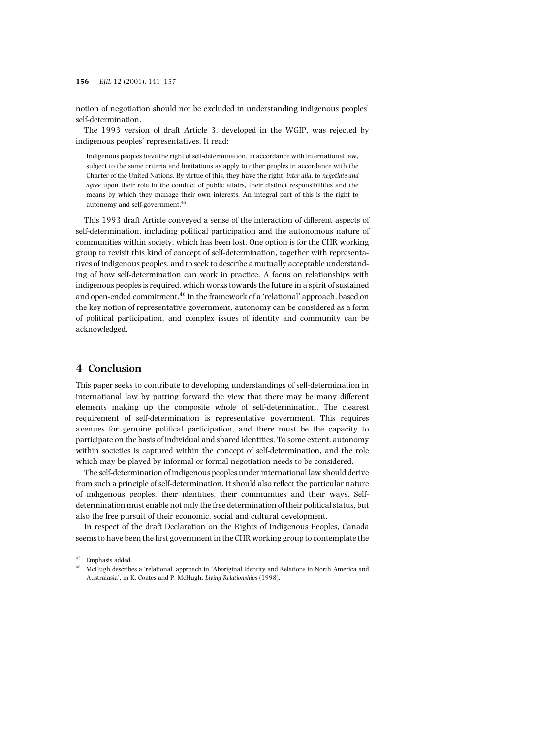notion of negotiation should not be excluded in understanding indigenous peoples' self-determination.

The 1993 version of draft Article 3, developed in the WGIP, was rejected by indigenous peoples' representatives. It read:

Indigenous peoples have the right of self-determination, in accordance with international law, subject to the same criteria and limitations as apply to other peoples in accordance with the Charter of the United Nations. By virtue of this, they have the right, *inter alia*, to *negotiate and agree* upon their role in the conduct of public affairs, their distinct responsibilities and the means by which they manage their own interests. An integral part of this is the right to autonomy and self-government.<sup>45</sup>

This 1993 draft Article conveyed a sense of the interaction of different aspects of self-determination, including political participation and the autonomous nature of communities within society, which has been lost. One option is for the CHR working group to revisit this kind of concept of self-determination, together with representatives of indigenous peoples, and to seek to describe a mutually acceptable understanding of how self-determination can work in practice. A focus on relationships with indigenous peoples is required, which works towards the future in a spirit of sustained and open-ended commitment.<sup>46</sup> In the framework of a 'relational' approach, based on the key notion of representative government, autonomy can be considered as a form of political participation, and complex issues of identity and community can be acknowledged.

## **4 Conclusion**

This paper seeks to contribute to developing understandings of self-determination in international law by putting forward the view that there may be many different elements making up the composite whole of self-determination. The clearest requirement of self-determination is representative government. This requires avenues for genuine political participation, and there must be the capacity to participate on the basis of individual and shared identities. To some extent, autonomy within societies is captured within the concept of self-determination, and the role which may be played by informal or formal negotiation needs to be considered.

The self-determination of indigenous peoples under international law should derive from such a principle of self-determination. It should also reflect the particular nature of indigenous peoples, their identities, their communities and their ways. Selfdetermination must enable not only the free determination of their political status, but also the free pursuit of their economic, social and cultural development.

In respect of the draft Declaration on the Rights of Indigenous Peoples, Canada seems to have been the first government in the CHR working group to contemplate the

<sup>45</sup> Emphasis added.

<sup>46</sup> McHugh describes a 'relational' approach in 'Aboriginal Identity and Relations in North America and Australasia', in K. Coates and P. McHugh, *Living Relationships* (1998).